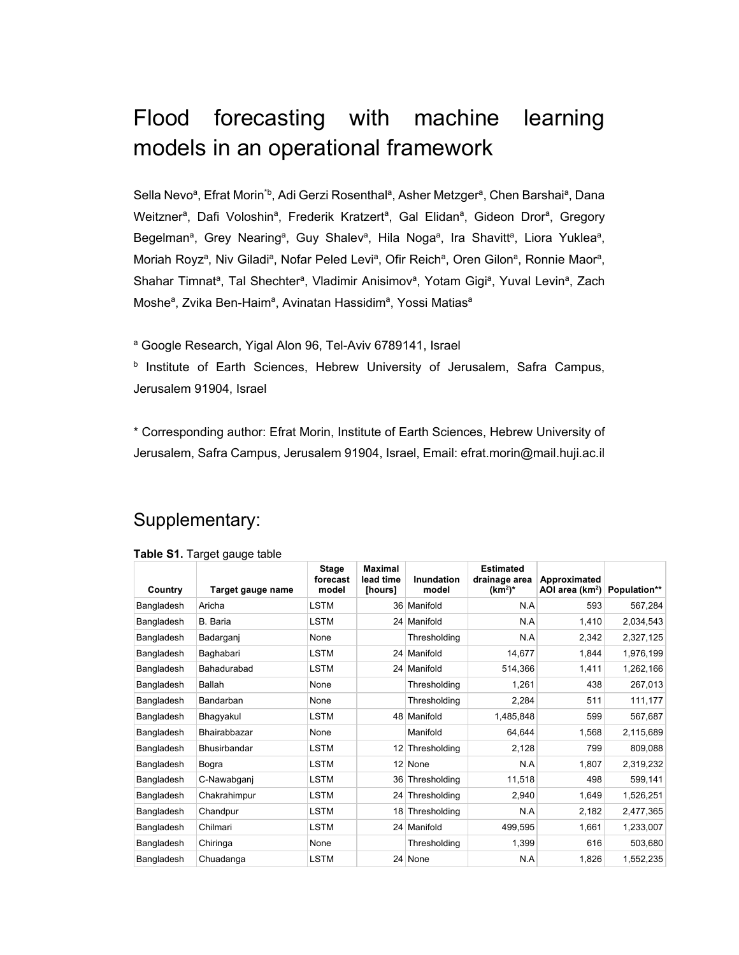## Flood forecasting with machine learning models in an operational framework

Sella Nevoª, Efrat Morin<sup>\*b</sup>, Adi Gerzi Rosenthalª, Asher Metzgerª, Chen Barshaiª, Dana Weitzner<sup>a</sup>, Dafi Voloshin<sup>a</sup>, Frederik Kratzert<sup>a</sup>, Gal Elidan<sup>a</sup>, Gideon Dror<sup>a</sup>, Gregory Begelman<sup>a</sup>, Grey Nearing<sup>a</sup>, Guy Shalev<sup>a</sup>, Hila Noga<sup>a</sup>, Ira Shavitt<sup>a</sup>, Liora Yuklea<sup>a</sup>, Moriah Royz<sup>a</sup>, Niv Giladi<sup>a</sup>, Nofar Peled Levi<sup>a</sup>, Ofir Reich<sup>a</sup>, Oren Gilon<sup>a</sup>, Ronnie Maor<sup>a</sup>, Shahar Timnat<sup>a</sup>, Tal Shechter<sup>a</sup>, Vladimir Anisimov<sup>a</sup>, Yotam Gigi<sup>a</sup>, Yuval Levin<sup>a</sup>, Zach Moshe<sup>a</sup>, Zvika Ben-Haim<sup>a</sup>, Avinatan Hassidim<sup>a</sup>, Yossi Matias<sup>a</sup>

<sup>a</sup> Google Research, Yigal Alon 96, Tel-Aviv 6789141, Israel

**b** Institute of Earth Sciences, Hebrew University of Jerusalem, Safra Campus, Jerusalem 91904, Israel

\* Corresponding author: Efrat Morin, Institute of Earth Sciences, Hebrew University of Jerusalem, Safra Campus, Jerusalem 91904, Israel, Email: efrat.morin@mail.huji.ac.il

## Supplementary:

| Country    | Target gauge name | <b>Stage</b><br>forecast<br>model | <b>Maximal</b><br>lead time<br>[hours] | <b>Inundation</b><br>model | <b>Estimated</b><br>drainage area<br>$(km^2)^*$ | Approximated<br>AOI area (km <sup>2</sup> ) | Population** |
|------------|-------------------|-----------------------------------|----------------------------------------|----------------------------|-------------------------------------------------|---------------------------------------------|--------------|
| Bangladesh | Aricha            | <b>LSTM</b>                       |                                        | 36 Manifold                | N.A                                             | 593                                         | 567,284      |
| Bangladesh | B. Baria          | <b>LSTM</b>                       |                                        | 24 Manifold                | N.A                                             | 1,410                                       | 2,034,543    |
| Bangladesh | Badarganj         | None                              |                                        | Thresholding               | N.A                                             | 2,342                                       | 2,327,125    |
| Bangladesh | Baghabari         | <b>LSTM</b>                       |                                        | 24 Manifold                | 14,677                                          | 1,844                                       | 1,976,199    |
| Bangladesh | Bahadurabad       | <b>LSTM</b>                       |                                        | 24 Manifold                | 514,366                                         | 1,411                                       | 1,262,166    |
| Bangladesh | Ballah            | None                              |                                        | Thresholding               | 1,261                                           | 438                                         | 267,013      |
| Bangladesh | Bandarban         | None                              |                                        | Thresholding               | 2,284                                           | 511                                         | 111,177      |
| Bangladesh | Bhagyakul         | <b>LSTM</b>                       |                                        | 48 Manifold                | 1,485,848                                       | 599                                         | 567,687      |
| Bangladesh | Bhairabbazar      | None                              |                                        | Manifold                   | 64,644                                          | 1,568                                       | 2,115,689    |
| Bangladesh | Bhusirbandar      | <b>LSTM</b>                       | $12 \overline{ }$                      | Thresholding               | 2,128                                           | 799                                         | 809,088      |
| Bangladesh | Bogra             | <b>LSTM</b>                       | 12 <sup>1</sup>                        | None                       | N.A                                             | 1,807                                       | 2,319,232    |
| Bangladesh | C-Nawabganj       | <b>LSTM</b>                       |                                        | 36 Thresholding            | 11,518                                          | 498                                         | 599,141      |
| Bangladesh | Chakrahimpur      | <b>LSTM</b>                       |                                        | 24 Thresholding            | 2,940                                           | 1,649                                       | 1,526,251    |
| Bangladesh | Chandpur          | <b>LSTM</b>                       | 18                                     | Thresholding               | N.A                                             | 2,182                                       | 2,477,365    |
| Bangladesh | Chilmari          | <b>LSTM</b>                       |                                        | 24 Manifold                | 499,595                                         | 1,661                                       | 1,233,007    |
| Bangladesh | Chiringa          | None                              |                                        | Thresholding               | 1,399                                           | 616                                         | 503,680      |
| Bangladesh | Chuadanga         | <b>LSTM</b>                       |                                        | 24 None                    | N.A                                             | 1,826                                       | 1,552,235    |

## **Table S1.** Target gauge table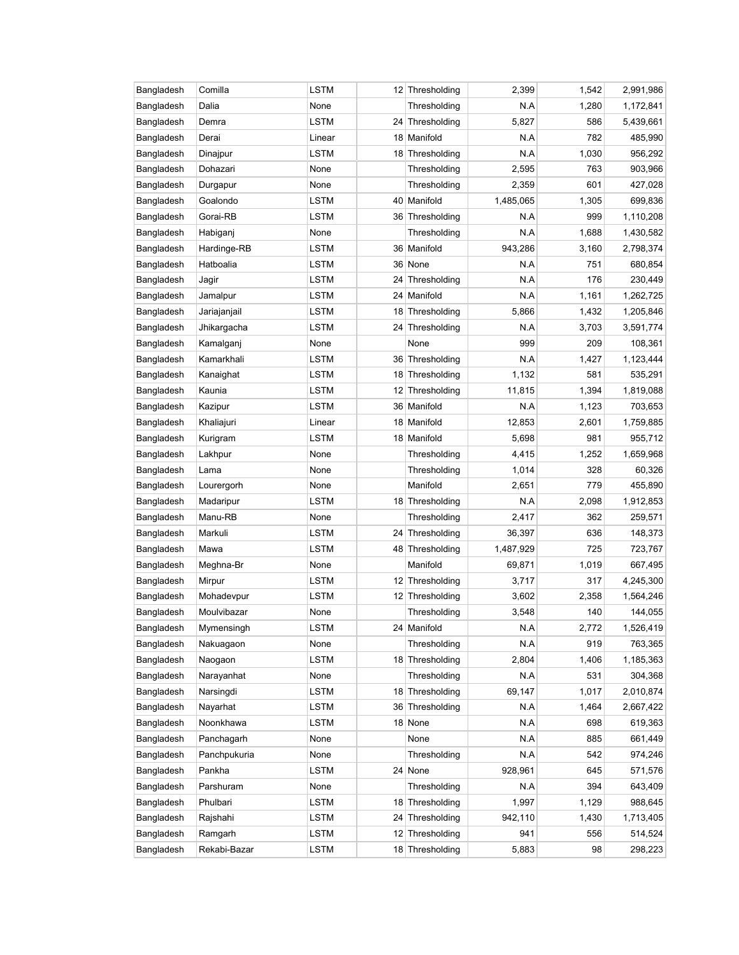| Bangladesh | Comilla      | LSTM        |    | 12 Thresholding | 2,399     | 1,542 | 2,991,986 |
|------------|--------------|-------------|----|-----------------|-----------|-------|-----------|
| Bangladesh | Dalia        | None        |    | Thresholding    | N.A       | 1,280 | 1,172,841 |
| Bangladesh | Demra        | LSTM        |    | 24 Thresholding | 5,827     | 586   | 5,439,661 |
| Bangladesh | Derai        | Linear      |    | 18 Manifold     | N.A       | 782   | 485,990   |
| Bangladesh | Dinajpur     | LSTM        |    | 18 Thresholding | N.A       | 1,030 | 956,292   |
| Bangladesh | Dohazari     | None        |    | Thresholding    | 2,595     | 763   | 903,966   |
| Bangladesh | Durgapur     | None        |    | Thresholding    | 2,359     | 601   | 427,028   |
| Bangladesh | Goalondo     | LSTM        |    | 40 Manifold     | 1,485,065 | 1,305 | 699,836   |
| Bangladesh | Gorai-RB     | LSTM        |    | 36 Thresholding | N.A       | 999   | 1,110,208 |
| Bangladesh | Habiganj     | None        |    | Thresholding    | N.A       | 1,688 | 1,430,582 |
| Bangladesh | Hardinge-RB  | <b>LSTM</b> |    | 36 Manifold     | 943,286   | 3,160 | 2,798,374 |
| Bangladesh | Hatboalia    | LSTM        |    | 36 None         | N.A       | 751   | 680,854   |
| Bangladesh | Jagir        | LSTM        | 24 | Thresholding    | N.A       | 176   | 230,449   |
| Bangladesh | Jamalpur     | LSTM        |    | 24 Manifold     | N.A       | 1,161 | 1,262,725 |
| Bangladesh | Jariajanjail | LSTM        |    | 18 Thresholding | 5,866     | 1,432 | 1,205,846 |
| Bangladesh | Jhikargacha  | LSTM        | 24 | Thresholding    | N.A       | 3,703 | 3,591,774 |
| Bangladesh | Kamalganj    | None        |    | None            | 999       | 209   | 108,361   |
| Bangladesh | Kamarkhali   | LSTM        |    | 36 Thresholding | N.A       | 1,427 | 1,123,444 |
| Bangladesh | Kanaighat    | LSTM        |    | 18 Thresholding | 1,132     | 581   | 535,291   |
| Bangladesh | Kaunia       | LSTM        |    | 12 Thresholding | 11,815    | 1,394 | 1,819,088 |
| Bangladesh | Kazipur      | LSTM        |    | 36 Manifold     | N.A       | 1,123 | 703,653   |
| Bangladesh | Khaliajuri   | Linear      |    | 18 Manifold     | 12,853    | 2,601 | 1,759,885 |
| Bangladesh | Kurigram     | LSTM        |    | 18 Manifold     | 5,698     | 981   | 955,712   |
| Bangladesh | Lakhpur      | None        |    | Thresholding    | 4,415     | 1,252 | 1,659,968 |
| Bangladesh | Lama         | None        |    | Thresholding    | 1,014     | 328   | 60,326    |
| Bangladesh | Lourergorh   | None        |    | Manifold        | 2,651     | 779   | 455,890   |
| Bangladesh | Madaripur    | <b>LSTM</b> |    | 18 Thresholding | N.A       | 2,098 | 1,912,853 |
| Bangladesh | Manu-RB      | None        |    | Thresholding    | 2,417     | 362   | 259,571   |
| Bangladesh | Markuli      | LSTM        |    | 24 Thresholding | 36,397    | 636   | 148,373   |
| Bangladesh | Mawa         | LSTM        |    | 48 Thresholding | 1,487,929 | 725   | 723,767   |
| Bangladesh | Meghna-Br    | None        |    | Manifold        | 69,871    | 1,019 | 667,495   |
| Bangladesh | Mirpur       | <b>LSTM</b> |    | 12 Thresholding | 3,717     | 317   | 4,245,300 |
| Bangladesh | Mohadevpur   | <b>LSTM</b> |    | 12 Thresholding | 3,602     | 2,358 | 1,564,246 |
| Bangladesh | Moulvibazar  | None        |    | Thresholding    | 3,548     | 140   | 144,055   |
| Bangladesh | Mymensingh   | LSTM        |    | 24 Manifold     | N.A       | 2,772 | 1,526,419 |
| Bangladesh | Nakuagaon    | None        |    | Thresholding    | N.A       | 919   | 763,365   |
| Bangladesh | Naogaon      | LSTM        |    | 18 Thresholding | 2,804     | 1,406 | 1,185,363 |
| Bangladesh | Narayanhat   | None        |    | Thresholding    | N.A       | 531   | 304,368   |
| Bangladesh | Narsingdi    | LSTM        |    | 18 Thresholding | 69,147    | 1,017 | 2,010,874 |
| Bangladesh | Nayarhat     | LSTM        |    | 36 Thresholding | N.A       | 1,464 | 2,667,422 |
| Bangladesh | Noonkhawa    | <b>LSTM</b> |    | 18 None         | N.A       | 698   | 619,363   |
| Bangladesh | Panchagarh   | None        |    | None            | N.A       | 885   | 661,449   |
| Bangladesh | Panchpukuria | None        |    | Thresholding    | N.A       | 542   | 974,246   |
| Bangladesh | Pankha       | LSTM        |    | 24 None         | 928,961   | 645   | 571,576   |
| Bangladesh | Parshuram    | None        |    | Thresholding    | N.A       | 394   | 643,409   |
| Bangladesh | Phulbari     | LSTM        |    | 18 Thresholding | 1,997     | 1,129 | 988,645   |
| Bangladesh | Rajshahi     | LSTM        | 24 | Thresholding    | 942,110   | 1,430 | 1,713,405 |
| Bangladesh | Ramgarh      | LSTM        |    | 12 Thresholding | 941       | 556   | 514,524   |
| Bangladesh | Rekabi-Bazar | <b>LSTM</b> |    | 18 Thresholding | 5,883     | 98    | 298,223   |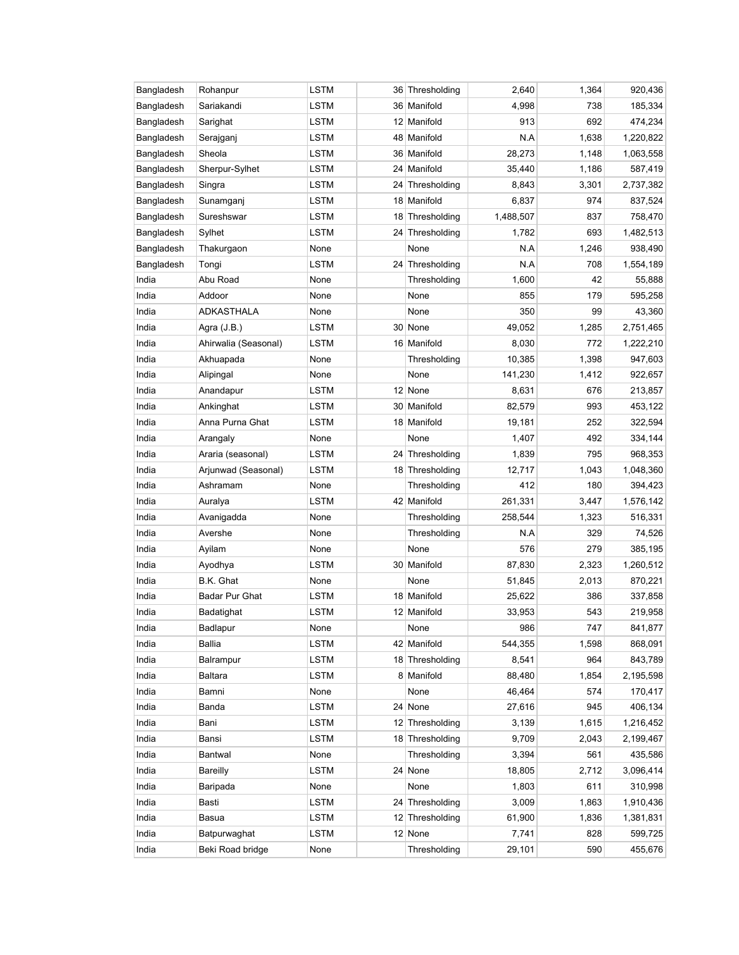| Bangladesh | Rohanpur             | LSTM        | 36 Thresholding | 2,640     | 1,364 | 920,436   |
|------------|----------------------|-------------|-----------------|-----------|-------|-----------|
| Bangladesh | Sariakandi           | <b>LSTM</b> | 36 Manifold     | 4,998     | 738   | 185,334   |
| Bangladesh | Sarighat             | <b>LSTM</b> | 12 Manifold     | 913       | 692   | 474,234   |
| Bangladesh | Serajganj            | LSTM        | 48 Manifold     | N.A       | 1,638 | 1,220,822 |
| Bangladesh | Sheola               | LSTM        | 36 Manifold     | 28,273    | 1,148 | 1,063,558 |
| Bangladesh | Sherpur-Sylhet       | LSTM        | 24 Manifold     | 35,440    | 1,186 | 587,419   |
| Bangladesh | Singra               | LSTM        | 24 Thresholding | 8,843     | 3,301 | 2,737,382 |
| Bangladesh | Sunamganj            | LSTM        | 18 Manifold     | 6,837     | 974   | 837,524   |
| Bangladesh | Sureshswar           | LSTM        | 18 Thresholding | 1,488,507 | 837   | 758,470   |
| Bangladesh | Sylhet               | LSTM        | 24 Thresholding | 1,782     | 693   | 1,482,513 |
| Bangladesh | Thakurgaon           | None        | None            | N.A       | 1,246 | 938,490   |
| Bangladesh | Tongi                | LSTM        | 24 Thresholding | N.A       | 708   | 1,554,189 |
| India      | Abu Road             | None        | Thresholding    | 1,600     | 42    | 55,888    |
| India      | Addoor               | None        | None            | 855       | 179   | 595,258   |
| India      | ADKASTHALA           | None        | None            | 350       | 99    | 43,360    |
| India      | Agra (J.B.)          | LSTM        | 30 None         | 49,052    | 1,285 | 2,751,465 |
| India      | Ahirwalia (Seasonal) | LSTM        | 16 Manifold     | 8,030     | 772   | 1,222,210 |
| India      | Akhuapada            | None        | Thresholding    | 10,385    | 1,398 | 947,603   |
| India      | Alipingal            | None        | None            | 141,230   | 1,412 | 922,657   |
| India      | Anandapur            | LSTM        | 12 None         | 8,631     | 676   | 213,857   |
| India      | Ankinghat            | LSTM        | 30 Manifold     | 82,579    | 993   | 453,122   |
| India      | Anna Purna Ghat      | LSTM        | 18 Manifold     | 19,181    | 252   | 322,594   |
| India      | Arangaly             | None        | None            | 1,407     | 492   | 334,144   |
| India      | Araria (seasonal)    | <b>LSTM</b> | 24 Thresholding | 1,839     | 795   | 968,353   |
| India      | Arjunwad (Seasonal)  | LSTM        | 18 Thresholding | 12,717    | 1,043 | 1,048,360 |
| India      | Ashramam             | None        | Thresholding    | 412       | 180   | 394,423   |
| India      | Auralya              | LSTM        | 42 Manifold     | 261,331   | 3,447 | 1,576,142 |
| India      | Avanigadda           | None        | Thresholding    | 258,544   | 1,323 | 516,331   |
| India      | Avershe              | None        | Thresholding    | N.A       | 329   | 74,526    |
| India      | Ayilam               | None        | None            | 576       | 279   | 385,195   |
| India      | Ayodhya              | LSTM        | 30 Manifold     | 87,830    | 2,323 | 1,260,512 |
| India      | B.K. Ghat            | None        | None            | 51,845    | 2,013 | 870,221   |
| India      | Badar Pur Ghat       | <b>LSTM</b> | 18 Manifold     | 25,622    | 386   | 337,858   |
| India      | Badatighat           | LSTM        | 12 Manifold     | 33,953    | 543   | 219,958   |
| India      | Badlapur             | None        | None            | 986       | 747   | 841,877   |
| India      | Ballia               | <b>LSTM</b> | 42 Manifold     | 544,355   | 1,598 | 868,091   |
| India      | Balrampur            | LSTM        | 18 Thresholding | 8,541     | 964   | 843,789   |
| India      | Baltara              | LSTM        | 8 Manifold      | 88,480    | 1,854 | 2,195,598 |
| India      | Bamni                | None        | None            | 46,464    | 574   | 170,417   |
| India      | Banda                | LSTM        | 24 None         | 27,616    | 945   | 406,134   |
| India      | Bani                 | <b>LSTM</b> | 12 Thresholding | 3,139     | 1,615 | 1,216,452 |
| India      | Bansi                | <b>LSTM</b> | 18 Thresholding | 9,709     | 2,043 | 2,199,467 |
| India      | Bantwal              | None        | Thresholding    | 3,394     | 561   | 435,586   |
| India      | Bareilly             | LSTM        | 24 None         | 18,805    | 2,712 | 3,096,414 |
| India      | Baripada             | None        | None            | 1,803     | 611   | 310,998   |
| India      | Basti                | <b>LSTM</b> | 24 Thresholding | 3,009     | 1,863 | 1,910,436 |
| India      | Basua                | LSTM        | 12 Thresholding | 61,900    | 1,836 | 1,381,831 |
| India      | Batpurwaghat         | LSTM        | 12 None         | 7,741     | 828   | 599,725   |
| India      | Beki Road bridge     | None        | Thresholding    | 29,101    | 590   | 455,676   |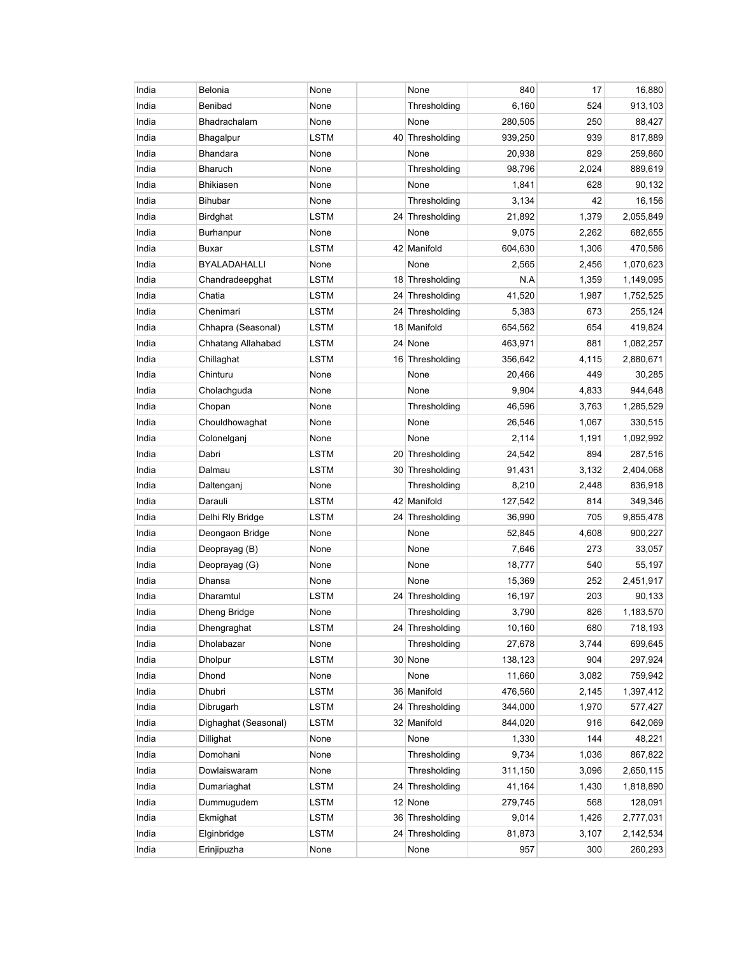| India | Belonia              | None        |    | None            | 840     | 17    | 16,880    |
|-------|----------------------|-------------|----|-----------------|---------|-------|-----------|
| India | Benibad              | None        |    | Thresholding    | 6,160   | 524   | 913,103   |
| India | <b>Bhadrachalam</b>  | None        |    | None            | 280,505 | 250   | 88,427    |
| India | Bhagalpur            | LSTM        |    | 40 Thresholding | 939,250 | 939   | 817,889   |
| India | <b>Bhandara</b>      | None        |    | None            | 20,938  | 829   | 259,860   |
| India | <b>Bharuch</b>       | None        |    | Thresholding    | 98,796  | 2,024 | 889,619   |
| India | <b>Bhikiasen</b>     | None        |    | None            | 1,841   | 628   | 90,132    |
| India | <b>Bihubar</b>       | None        |    | Thresholding    | 3,134   | 42    | 16,156    |
| India | Birdghat             | <b>LSTM</b> |    | 24 Thresholding | 21,892  | 1,379 | 2,055,849 |
| India | Burhanpur            | None        |    | None            | 9,075   | 2,262 | 682,655   |
| India | <b>Buxar</b>         | LSTM        |    | 42 Manifold     | 604,630 | 1,306 | 470,586   |
| India | BYALADAHALLI         | None        |    | None            | 2,565   | 2,456 | 1,070,623 |
| India | Chandradeepghat      | <b>LSTM</b> |    | 18 Thresholding | N.A     | 1,359 | 1,149,095 |
| India | Chatia               | <b>LSTM</b> |    | 24 Thresholding | 41,520  | 1,987 | 1,752,525 |
| India | Chenimari            | <b>LSTM</b> |    | 24 Thresholding | 5,383   | 673   | 255,124   |
| India | Chhapra (Seasonal)   | LSTM        |    | 18 Manifold     | 654,562 | 654   | 419,824   |
| India | Chhatang Allahabad   | <b>LSTM</b> |    | 24 None         | 463,971 | 881   | 1,082,257 |
| India | Chillaghat           | LSTM        |    | 16 Thresholding | 356,642 | 4,115 | 2,880,671 |
| India | Chinturu             | None        |    | None            | 20,466  | 449   | 30,285    |
| India | Cholachguda          | None        |    | None            | 9,904   | 4,833 | 944,648   |
| India | Chopan               | None        |    | Thresholding    | 46,596  | 3,763 | 1,285,529 |
| India | Chouldhowaghat       | None        |    | None            | 26,546  | 1,067 | 330,515   |
| India | Colonelganj          | None        |    | None            | 2,114   | 1,191 | 1,092,992 |
| India | Dabri                | <b>LSTM</b> |    | 20 Thresholding | 24,542  | 894   | 287,516   |
| India | Dalmau               | <b>LSTM</b> |    | 30 Thresholding | 91,431  | 3,132 | 2,404,068 |
| India | Daltenganj           | None        |    | Thresholding    | 8,210   | 2,448 | 836,918   |
| India | Darauli              | LSTM        |    | 42 Manifold     | 127,542 | 814   | 349,346   |
| India | Delhi Rly Bridge     | LSTM        |    | 24 Thresholding | 36,990  | 705   | 9,855,478 |
| India | Deongaon Bridge      | None        |    | None            | 52,845  | 4,608 | 900,227   |
| India | Deoprayag (B)        | None        |    | None            | 7,646   | 273   | 33,057    |
| India | Deoprayag (G)        | None        |    | None            | 18,777  | 540   | 55,197    |
| India | Dhansa               | None        |    | None            | 15,369  | 252   | 2,451,917 |
| India | Dharamtul            | LSTM        |    | 24 Thresholding | 16,197  | 203   | 90,133    |
| India | Dheng Bridge         | None        |    | Thresholding    | 3,790   | 826   | 1,183,570 |
| India | Dhengraghat          | <b>LSTM</b> |    | 24 Thresholding | 10,160  | 680   | 718,193   |
| India | Dholabazar           | None        |    | Thresholding    | 27,678  | 3,744 | 699,645   |
| India | <b>Dholpur</b>       | <b>LSTM</b> |    | 30 None         | 138,123 | 904   | 297,924   |
| India | Dhond                | None        |    | None            | 11,660  | 3,082 | 759,942   |
| India | Dhubri               | <b>LSTM</b> |    | 36 Manifold     | 476,560 | 2,145 | 1,397,412 |
| India | Dibrugarh            | <b>LSTM</b> |    | 24 Thresholding | 344,000 | 1,970 | 577,427   |
| India | Dighaghat (Seasonal) | <b>LSTM</b> |    | 32 Manifold     | 844,020 | 916   | 642,069   |
| India | Dillighat            | None        |    | None            | 1,330   | 144   | 48,221    |
| India | Domohani             | None        |    | Thresholding    | 9,734   | 1,036 | 867,822   |
| India | Dowlaiswaram         | None        |    | Thresholding    | 311,150 | 3,096 | 2,650,115 |
| India | Dumariaghat          | <b>LSTM</b> |    | 24 Thresholding | 41,164  | 1,430 | 1,818,890 |
| India | Dummugudem           | <b>LSTM</b> |    | 12 None         | 279,745 | 568   | 128,091   |
| India | Ekmighat             | LSTM        |    | 36 Thresholding | 9,014   | 1,426 | 2,777,031 |
| India | Elginbridge          | <b>LSTM</b> | 24 | Thresholding    | 81,873  | 3,107 | 2,142,534 |
| India | Erinjipuzha          | None        |    | None            | 957     | 300   | 260,293   |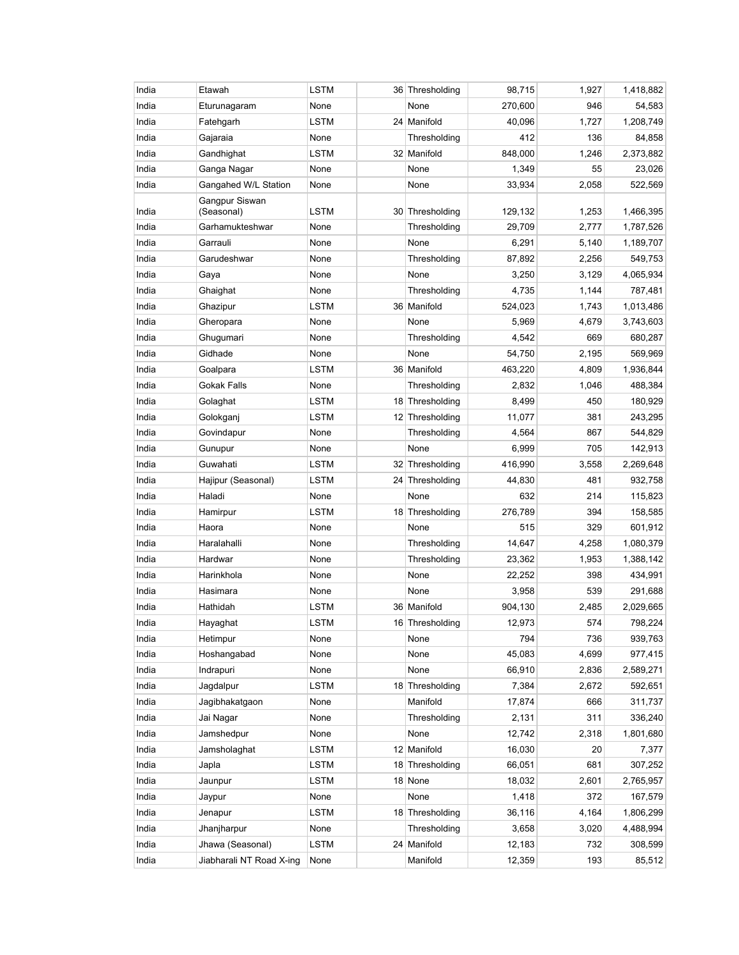| India | Etawah                       | <b>LSTM</b> | 36 Thresholding | 98,715  | 1,927 | 1,418,882 |
|-------|------------------------------|-------------|-----------------|---------|-------|-----------|
| India | Eturunagaram                 | None        | None            | 270,600 | 946   | 54,583    |
| India | Fatehgarh                    | <b>LSTM</b> | 24 Manifold     | 40,096  | 1,727 | 1,208,749 |
| India | Gajaraia                     | None        | Thresholding    | 412     | 136   | 84,858    |
| India | Gandhighat                   | LSTM        | 32 Manifold     | 848,000 | 1,246 | 2,373,882 |
| India | Ganga Nagar                  | None        | None            | 1,349   | 55    | 23,026    |
| India | Gangahed W/L Station         | None        | None            | 33,934  | 2,058 | 522,569   |
| India | Gangpur Siswan<br>(Seasonal) | LSTM        | 30 Thresholding | 129,132 | 1,253 | 1,466,395 |
| India | Garhamukteshwar              | None        | Thresholding    | 29,709  | 2,777 | 1,787,526 |
| India | Garrauli                     | None        | None            | 6,291   | 5,140 | 1,189,707 |
| India | Garudeshwar                  | None        | Thresholding    | 87,892  | 2,256 | 549,753   |
| India | Gaya                         | None        | None            | 3,250   | 3,129 | 4,065,934 |
| India | Ghaighat                     | None        | Thresholding    | 4,735   | 1,144 | 787,481   |
| India | Ghazipur                     | LSTM        | 36 Manifold     | 524,023 | 1,743 | 1,013,486 |
| India | Gheropara                    | None        | None            | 5,969   | 4,679 | 3,743,603 |
| India | Ghugumari                    | None        | Thresholding    | 4,542   | 669   | 680,287   |
| India | Gidhade                      | None        | None            | 54,750  | 2,195 | 569,969   |
| India | Goalpara                     | <b>LSTM</b> | 36 Manifold     | 463,220 | 4,809 | 1,936,844 |
| India | Gokak Falls                  | None        | Thresholding    | 2,832   | 1,046 | 488,384   |
| India | Golaghat                     | LSTM        | 18 Thresholding | 8,499   | 450   | 180,929   |
| India | Golokganj                    | <b>LSTM</b> | 12 Thresholding | 11,077  | 381   | 243,295   |
| India | Govindapur                   | None        | Thresholding    | 4,564   | 867   | 544,829   |
| India | Gunupur                      | None        | None            | 6,999   | 705   | 142,913   |
| India | Guwahati                     | LSTM        | 32 Thresholding | 416,990 | 3,558 | 2,269,648 |
| India | Hajipur (Seasonal)           | LSTM        | 24 Thresholding | 44,830  | 481   | 932,758   |
| India | Haladi                       | None        | None            | 632     | 214   | 115,823   |
| India | Hamirpur                     | <b>LSTM</b> | 18 Thresholding | 276,789 | 394   | 158,585   |
| India | Haora                        | None        | None            | 515     | 329   | 601,912   |
| India | Haralahalli                  | None        | Thresholding    | 14,647  | 4,258 | 1,080,379 |
| India | Hardwar                      | None        | Thresholding    | 23,362  | 1,953 | 1,388,142 |
| India | Harinkhola                   | None        | None            | 22,252  | 398   | 434,991   |
| India | Hasimara                     | None        | None            | 3,958   | 539   | 291,688   |
| India | Hathidah                     | LSTM        | 36 Manifold     | 904,130 | 2,485 | 2,029,665 |
| India | Hayaghat                     | <b>LSTM</b> | 16 Thresholding | 12,973  | 574   | 798,224   |
| India | Hetimpur                     | None        | None            | 794     | 736   | 939,763   |
| India | Hoshangabad                  | None        | None            | 45,083  | 4,699 | 977,415   |
| India | Indrapuri                    | None        | None            | 66,910  | 2,836 | 2,589,271 |
| India | Jagdalpur                    | <b>LSTM</b> | 18 Thresholding | 7,384   | 2,672 | 592,651   |
| India | Jagibhakatgaon               | None        | Manifold        | 17,874  | 666   | 311,737   |
| India | Jai Nagar                    | None        | Thresholding    | 2,131   | 311   | 336,240   |
| India | Jamshedpur                   | None        | None            | 12,742  | 2,318 | 1,801,680 |
| India | Jamsholaghat                 | <b>LSTM</b> | 12 Manifold     | 16,030  | 20    | 7,377     |
| India | Japla                        | <b>LSTM</b> | 18 Thresholding | 66,051  | 681   | 307,252   |
| India | Jaunpur                      | <b>LSTM</b> | 18 None         | 18,032  | 2,601 | 2,765,957 |
| India | Jaypur                       | None        | None            | 1,418   | 372   | 167,579   |
| India | Jenapur                      | LSTM        | 18 Thresholding | 36,116  | 4,164 | 1,806,299 |
| India | Jhanjharpur                  | None        | Thresholding    | 3,658   | 3,020 | 4,488,994 |
| India | Jhawa (Seasonal)             | <b>LSTM</b> | 24 Manifold     | 12,183  | 732   | 308,599   |
| India | Jiabharali NT Road X-ing     | None        | Manifold        | 12,359  | 193   | 85,512    |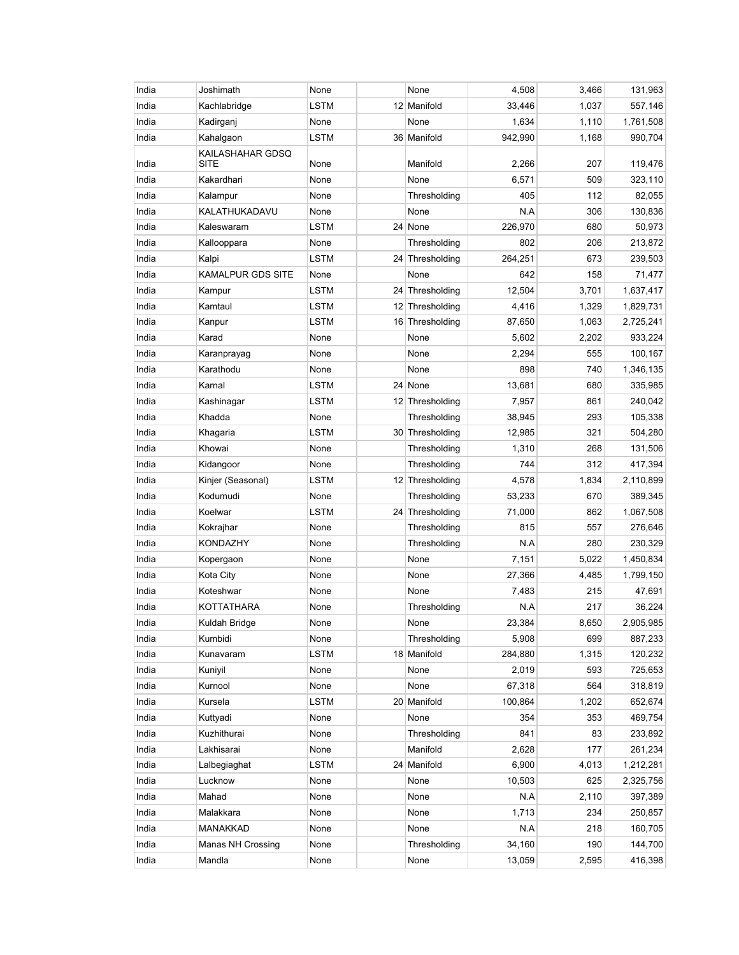| India | Joshimath                       | None        | None            | 4,508   | 3,466 | 131,963   |
|-------|---------------------------------|-------------|-----------------|---------|-------|-----------|
| India | Kachlabridge                    | <b>LSTM</b> | 12 Manifold     | 33,446  | 1,037 | 557,146   |
| India | Kadirganj                       | None        | None            | 1,634   | 1,110 | 1,761,508 |
| India | Kahalgaon                       | LSTM        | 36 Manifold     | 942,990 | 1,168 | 990,704   |
| India | KAILASHAHAR GDSQ<br><b>SITE</b> | None        | Manifold        | 2,266   | 207   | 119,476   |
| India | Kakardhari                      | None        | None            | 6,571   | 509   | 323,110   |
| India | Kalampur                        | None        | Thresholding    | 405     | 112   | 82,055    |
| India | KALATHUKADAVU                   | None        | None            | N.A     | 306   | 130,836   |
| India | Kaleswaram                      | LSTM        | 24 None         | 226,970 | 680   | 50,973    |
| India | Kallooppara                     | None        | Thresholding    | 802     | 206   | 213,872   |
| India | Kalpi                           | <b>LSTM</b> | 24 Thresholding | 264,251 | 673   | 239,503   |
| India | <b>KAMALPUR GDS SITE</b>        | None        | None            | 642     | 158   | 71,477    |
| India | Kampur                          | <b>LSTM</b> | 24 Thresholding | 12,504  | 3,701 | 1,637,417 |
| India | Kamtaul                         | LSTM        | 12 Thresholding | 4,416   | 1,329 | 1,829,731 |
| India | Kanpur                          | LSTM        | 16 Thresholding | 87,650  | 1,063 | 2,725,241 |
| India | Karad                           | None        | None            | 5,602   | 2,202 | 933,224   |
| India | Karanprayag                     | None        | None            | 2,294   | 555   | 100,167   |
| India | Karathodu                       | None        | None            | 898     | 740   | 1,346,135 |
| India | Karnal                          | LSTM        | 24 None         | 13,681  | 680   | 335,985   |
| India | Kashinagar                      | LSTM        | 12 Thresholding | 7,957   | 861   | 240,042   |
| India | Khadda                          | None        | Thresholding    | 38,945  | 293   | 105,338   |
| India | Khagaria                        | LSTM        | 30 Thresholding | 12,985  | 321   | 504,280   |
| India | Khowai                          | None        | Thresholding    | 1,310   | 268   | 131,506   |
| India | Kidangoor                       | None        | Thresholding    | 744     | 312   | 417,394   |
| India | Kinjer (Seasonal)               | LSTM        | 12 Thresholding | 4,578   | 1,834 | 2,110,899 |
| India | Kodumudi                        | None        | Thresholding    | 53,233  | 670   | 389,345   |
| India | Koelwar                         | <b>LSTM</b> | 24 Thresholding | 71,000  | 862   | 1,067,508 |
| India | Kokrajhar                       | None        | Thresholding    | 815     | 557   | 276,646   |
| India | KONDAZHY                        | None        | Thresholding    | N.A     | 280   | 230,329   |
| India | Kopergaon                       | None        | None            | 7,151   | 5,022 | 1,450,834 |
| India | Kota City                       | None        | None            | 27,366  | 4,485 | 1,799,150 |
| India | Koteshwar                       | None        | None            | 7,483   | 215   | 47,691    |
| India | KOTTATHARA                      | None        | Thresholding    | N.A     | 217   | 36,224    |
| India | Kuldah Bridge                   | None        | None            | 23,384  | 8,650 | 2,905,985 |
| India | Kumbidi                         | None        | Thresholding    | 5,908   | 699   | 887,233   |
| India | Kunavaram                       | LSTM        | 18 Manifold     | 284,880 | 1,315 | 120,232   |
| India | Kuniyil                         | None        | None            | 2,019   | 593   | 725,653   |
| India | Kurnool                         | None        | None            | 67,318  | 564   | 318,819   |
| India | Kursela                         | LSTM        | 20 Manifold     | 100,864 | 1,202 | 652,674   |
| India | Kuttyadi                        | None        | None            | 354     | 353   | 469,754   |
| India | Kuzhithurai                     | None        | Thresholding    | 841     | 83    | 233,892   |
| India | Lakhisarai                      | None        | Manifold        | 2,628   | 177   | 261,234   |
| India | Lalbegiaghat                    | <b>LSTM</b> | 24 Manifold     | 6,900   | 4,013 | 1,212,281 |
| India | Lucknow                         | None        | None            | 10,503  | 625   | 2,325,756 |
| India | Mahad                           | None        | None            | N.A     | 2,110 | 397,389   |
| India | Malakkara                       | None        | None            | 1,713   | 234   | 250,857   |
| India | MANAKKAD                        | None        | None            | N.A     | 218   | 160,705   |
| India | Manas NH Crossing               | None        | Thresholding    | 34,160  | 190   | 144,700   |
| India | Mandla                          | None        | None            | 13,059  | 2,595 | 416,398   |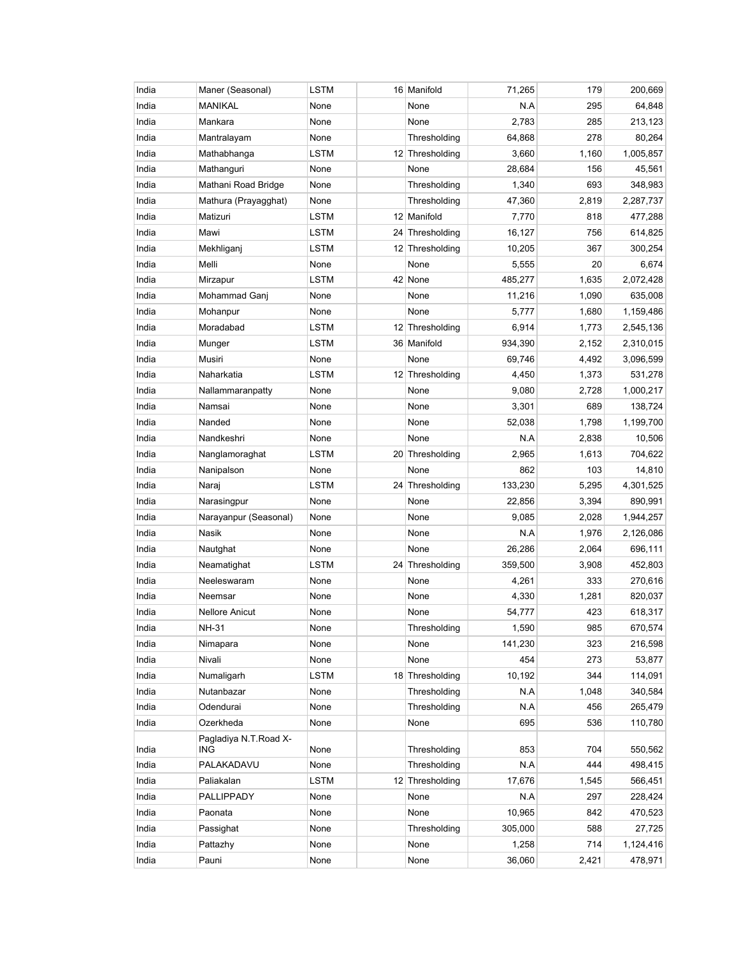| India | Maner (Seasonal)              | LSTM        | 16 Manifold     | 71,265  | 179   | 200,669   |
|-------|-------------------------------|-------------|-----------------|---------|-------|-----------|
| India | <b>MANIKAL</b>                | None        | None            | N.A     | 295   | 64,848    |
| India | Mankara                       | None        | None            | 2,783   | 285   | 213,123   |
| India | Mantralayam                   | None        | Thresholding    | 64,868  | 278   | 80,264    |
| India | Mathabhanga                   | LSTM        | 12 Thresholding | 3,660   | 1,160 | 1,005,857 |
| India | Mathanguri                    | None        | None            | 28,684  | 156   | 45,561    |
| India | Mathani Road Bridge           | None        | Thresholding    | 1,340   | 693   | 348,983   |
| India | Mathura (Prayagghat)          | None        | Thresholding    | 47,360  | 2,819 | 2,287,737 |
| India | Matizuri                      | LSTM        | 12 Manifold     | 7,770   | 818   | 477,288   |
| India | Mawi                          | LSTM        | 24 Thresholding | 16,127  | 756   | 614,825   |
| India | Mekhliganj                    | LSTM        | 12 Thresholding | 10,205  | 367   | 300,254   |
| India | Melli                         | None        | None            | 5,555   | 20    | 6,674     |
| India | Mirzapur                      | <b>LSTM</b> | 42 None         | 485,277 | 1,635 | 2,072,428 |
| India | Mohammad Ganj                 | None        | None            | 11,216  | 1,090 | 635,008   |
| India | Mohanpur                      | None        | None            | 5,777   | 1,680 | 1,159,486 |
| India | Moradabad                     | LSTM        | 12 Thresholding | 6,914   | 1,773 | 2,545,136 |
| India | Munger                        | LSTM        | 36 Manifold     | 934,390 | 2,152 | 2,310,015 |
| India | Musiri                        | None        | None            | 69,746  | 4,492 | 3,096,599 |
| India | Naharkatia                    | <b>LSTM</b> | 12 Thresholding | 4,450   | 1,373 | 531,278   |
| India | Nallammaranpatty              | None        | None            | 9,080   | 2,728 | 1,000,217 |
| India | Namsai                        | None        | None            | 3,301   | 689   | 138,724   |
| India | Nanded                        | None        | None            | 52,038  | 1,798 | 1,199,700 |
| India | Nandkeshri                    | None        | None            | N.A     | 2,838 | 10,506    |
| India | Nanglamoraghat                | <b>LSTM</b> | 20 Thresholding | 2,965   | 1,613 | 704,622   |
| India | Nanipalson                    | None        | None            | 862     | 103   | 14,810    |
| India | Naraj                         | LSTM        | 24 Thresholding | 133,230 | 5,295 | 4,301,525 |
| India | Narasingpur                   | None        | None            | 22,856  | 3,394 | 890,991   |
| India | Narayanpur (Seasonal)         | None        | None            | 9,085   | 2,028 | 1,944,257 |
| India | Nasik                         | None        | None            | N.A     | 1,976 | 2,126,086 |
| India | Nautghat                      | None        | None            | 26,286  | 2,064 | 696,111   |
| India | Neamatighat                   | LSTM        | 24 Thresholding | 359,500 | 3,908 | 452,803   |
| India | Neeleswaram                   | None        | None            | 4,261   | 333   | 270,616   |
| India | Neemsar                       | None        | None            | 4,330   | 1,281 | 820,037   |
| India | <b>Nellore Anicut</b>         | None        | None            | 54,777  | 423   | 618,317   |
| India | NH-31                         | None        | Thresholding    | 1,590   | 985   | 670,574   |
| India | Nimapara                      | None        | None            | 141,230 | 323   | 216,598   |
| India | Nivali                        | None        | None            | 454     | 273   | 53,877    |
| India | Numaligarh                    | LSTM        | 18 Thresholding | 10,192  | 344   | 114,091   |
| India | Nutanbazar                    | None        | Thresholding    | N.A     | 1,048 | 340,584   |
| India | Odendurai                     | None        | Thresholding    | N.A     | 456   | 265,479   |
| India | Ozerkheda                     | None        | None            | 695     | 536   | 110,780   |
| India | Pagladiya N.T. Road X-<br>ING | None        | Thresholding    | 853     | 704   | 550,562   |
| India | PALAKADAVU                    | None        | Thresholding    | N.A     | 444   | 498,415   |
| India | Paliakalan                    | <b>LSTM</b> | 12 Thresholding | 17,676  | 1,545 | 566,451   |
| India | PALLIPPADY                    | None        | None            | N.A     | 297   | 228,424   |
| India | Paonata                       | None        | None            | 10,965  | 842   | 470,523   |
| India | Passighat                     | None        | Thresholding    | 305,000 | 588   | 27,725    |
| India | Pattazhy                      | None        | None            | 1,258   | 714   | 1,124,416 |
| India | Pauni                         | None        | None            | 36,060  | 2,421 | 478,971   |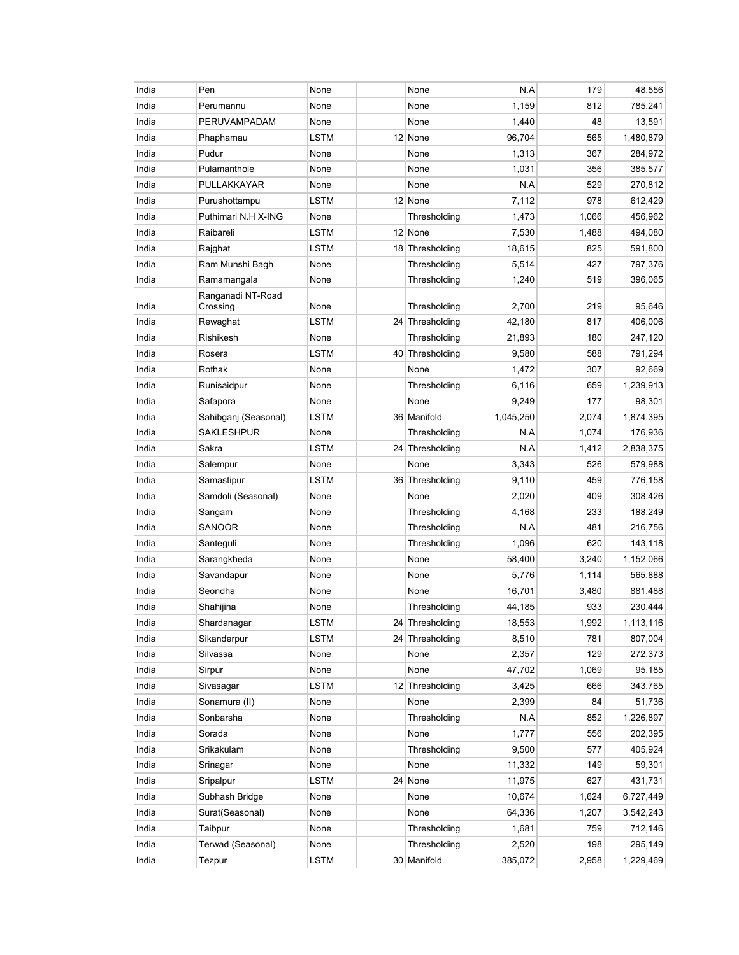| India | Pen                           | None        | None            | N.A       | 179   | 48,556    |
|-------|-------------------------------|-------------|-----------------|-----------|-------|-----------|
| India | Perumannu                     | None        | None            | 1,159     | 812   | 785,241   |
| India | PERUVAMPADAM                  | None        | None            | 1,440     | 48    | 13,591    |
| India | Phaphamau                     | LSTM        | 12 None         | 96,704    | 565   | 1,480,879 |
| India | Pudur                         | None        | None            | 1,313     | 367   | 284,972   |
| India | Pulamanthole                  | None        | None            | 1,031     | 356   | 385,577   |
| India | PULLAKKAYAR                   | None        | None            | N.A       | 529   | 270,812   |
| India | Purushottampu                 | <b>LSTM</b> | 12 None         | 7,112     | 978   | 612,429   |
| India | Puthimari N.H X-ING           | None        | Thresholding    | 1,473     | 1,066 | 456,962   |
| India | Raibareli                     | LSTM        | 12 None         | 7,530     | 1,488 | 494,080   |
| India | Rajghat                       | LSTM        | 18 Thresholding | 18,615    | 825   | 591,800   |
| India | Ram Munshi Bagh               | None        | Thresholding    | 5,514     | 427   | 797,376   |
| India | Ramamangala                   | None        | Thresholding    | 1,240     | 519   | 396,065   |
| India | Ranganadi NT-Road<br>Crossing | None        | Thresholding    | 2,700     | 219   | 95,646    |
| India | Rewaghat                      | LSTM        | 24 Thresholding | 42,180    | 817   | 406,006   |
| India | Rishikesh                     | None        | Thresholding    | 21,893    | 180   | 247,120   |
| India | Rosera                        | <b>LSTM</b> | 40 Thresholding | 9,580     | 588   | 791,294   |
| India | Rothak                        | None        | None            | 1,472     | 307   | 92,669    |
| India | Runisaidpur                   | None        | Thresholding    | 6,116     | 659   | 1,239,913 |
| India | Safapora                      | None        | None            | 9,249     | 177   | 98,301    |
| India | Sahibganj (Seasonal)          | <b>LSTM</b> | 36 Manifold     | 1,045,250 | 2,074 | 1,874,395 |
| India | <b>SAKLESHPUR</b>             | None        | Thresholding    | N.A       | 1,074 | 176,936   |
| India | Sakra                         | LSTM        | 24 Thresholding | N.A       | 1,412 | 2,838,375 |
| India | Salempur                      | None        | None            | 3,343     | 526   | 579,988   |
| India | Samastipur                    | LSTM        | 36 Thresholding | 9,110     | 459   | 776,158   |
| India | Samdoli (Seasonal)            | None        | None            | 2,020     | 409   | 308,426   |
| India | Sangam                        | None        | Thresholding    | 4,168     | 233   | 188,249   |
| India | SANOOR                        | None        | Thresholding    | N.A       | 481   | 216,756   |
| India | Santeguli                     | None        | Thresholding    | 1,096     | 620   | 143,118   |
| India | Sarangkheda                   | None        | None            | 58,400    | 3,240 | 1,152,066 |
| India | Savandapur                    | None        | None            | 5,776     | 1,114 | 565,888   |
| India | Seondha                       | None        | None            | 16,701    | 3,480 | 881,488   |
| India | Shahijina                     | None        | Thresholding    | 44,185    | 933   | 230,444   |
| India | Shardanagar                   | <b>LSTM</b> | 24 Thresholding | 18,553    | 1,992 | 1,113,116 |
| India | Sikanderpur                   | LSTM        | 24 Thresholding | 8,510     | 781   | 807,004   |
| India | Silvassa                      | None        | None            | 2,357     | 129   | 272,373   |
| India | Sirpur                        | None        | None            | 47,702    | 1,069 | 95,185    |
| India | Sivasagar                     | <b>LSTM</b> | 12 Thresholding | 3,425     | 666   | 343,765   |
| India | Sonamura (II)                 | None        | None            | 2,399     | 84    | 51,736    |
| India | Sonbarsha                     | None        | Thresholding    | N.A       | 852   | 1,226,897 |
| India | Sorada                        | None        | None            | 1,777     | 556   | 202,395   |
| India | Srikakulam                    | None        | Thresholding    | 9,500     | 577   | 405,924   |
| India | Srinagar                      | None        | None            | 11,332    | 149   | 59,301    |
| India | Sripalpur                     | LSTM        | 24 None         | 11,975    | 627   | 431,731   |
| India | Subhash Bridge                | None        | None            | 10,674    | 1,624 | 6,727,449 |
| India | Surat(Seasonal)               | None        | None            | 64,336    | 1,207 | 3,542,243 |
| India | Taibpur                       | None        | Thresholding    | 1,681     | 759   | 712,146   |
| India | Terwad (Seasonal)             | None        | Thresholding    | 2,520     | 198   | 295,149   |
| India | Tezpur                        | <b>LSTM</b> | 30 Manifold     | 385,072   | 2,958 | 1,229,469 |